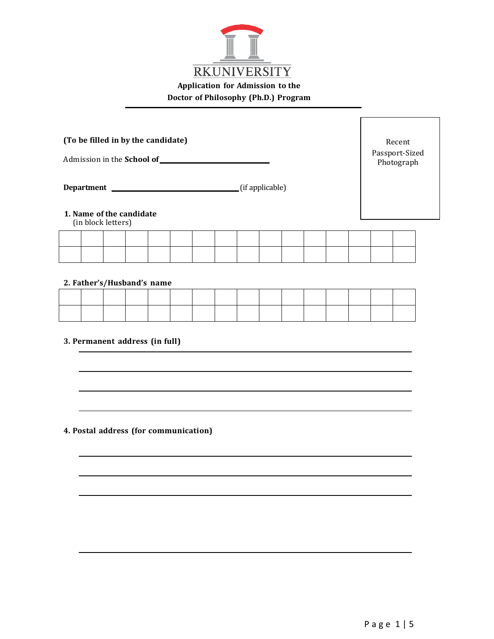

| (To be filled in by the candidate)<br>Admission in the School of |  |  |  |  |  |  |  |  |  | Recent<br>Passport-Sized<br>Photograph |  |  |  |  |  |
|------------------------------------------------------------------|--|--|--|--|--|--|--|--|--|----------------------------------------|--|--|--|--|--|
| (if applicable)<br><b>Department</b>                             |  |  |  |  |  |  |  |  |  |                                        |  |  |  |  |  |
| 1. Name of the candidate<br>(in block letters)                   |  |  |  |  |  |  |  |  |  |                                        |  |  |  |  |  |
|                                                                  |  |  |  |  |  |  |  |  |  |                                        |  |  |  |  |  |

#### **2. Father's/Husband's name**

#### **3. Permanent address (in full)**

#### **4. Postal address (for communication)**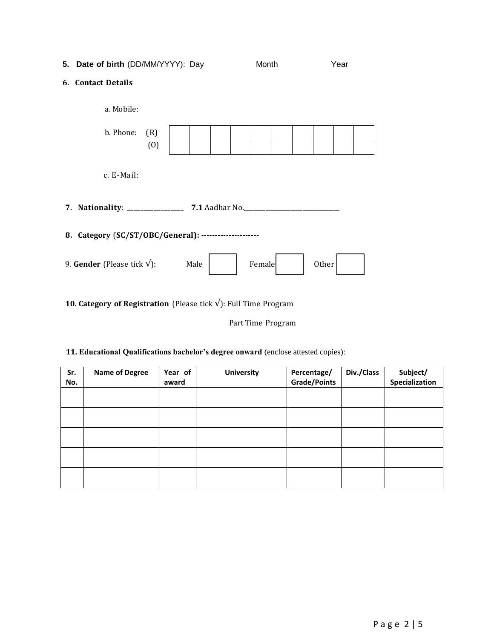## **5. Date of birth** (DD/MM/YYYY): Day Month Year

#### **6. Contact Details**

| a. Mobile:                                             |            |      |  |  |        |  |  |       |  |  |
|--------------------------------------------------------|------------|------|--|--|--------|--|--|-------|--|--|
| b. Phone:                                              | (R)<br>(0) |      |  |  |        |  |  |       |  |  |
| c. E-Mail:                                             |            |      |  |  |        |  |  |       |  |  |
|                                                        |            |      |  |  |        |  |  |       |  |  |
| 8. Category (SC/ST/OBC/General): --------------------- |            |      |  |  |        |  |  |       |  |  |
| 9. Gender (Please tick $\sqrt{}$ ):                    |            | Male |  |  | Female |  |  | Other |  |  |

# **10. Category of Registration** (Please tick √): Full Time Program

Part Time Program

### **11. Educational Qualifications bachelor's degree onward** (enclose attested copies):

| Sr.<br>No. | <b>Name of Degree</b> | Year of<br>award | <b>University</b> | Percentage/<br><b>Grade/Points</b> | Div./Class | Subject/<br>Specialization |
|------------|-----------------------|------------------|-------------------|------------------------------------|------------|----------------------------|
|            |                       |                  |                   |                                    |            |                            |
|            |                       |                  |                   |                                    |            |                            |
|            |                       |                  |                   |                                    |            |                            |
|            |                       |                  |                   |                                    |            |                            |
|            |                       |                  |                   |                                    |            |                            |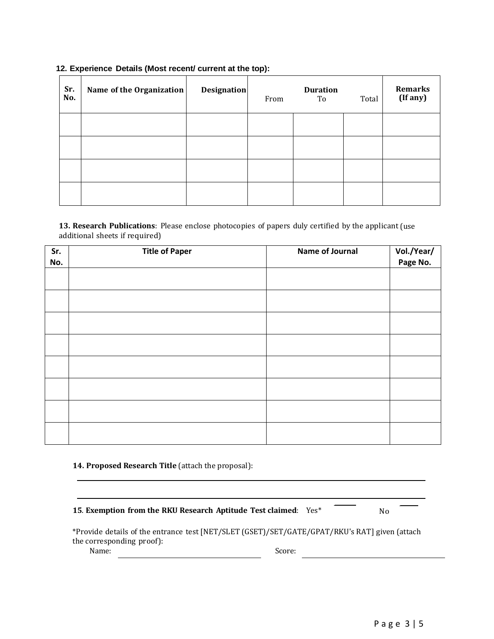| Sr.<br>No. | Name of the Organization | <b>Designation</b> | From | <b>Duration</b><br>To | Total | <b>Remarks</b><br>(If any) |
|------------|--------------------------|--------------------|------|-----------------------|-------|----------------------------|
|            |                          |                    |      |                       |       |                            |
|            |                          |                    |      |                       |       |                            |
|            |                          |                    |      |                       |       |                            |
|            |                          |                    |      |                       |       |                            |

#### **12. Experience Details (Most recent/ current at the top):**

**13. Research Publications**: Please enclose photocopies of papers duly certified by the applicant (use additional sheets if required)

| Sr. | <b>Title of Paper</b> | Name of Journal | Vol./Year/<br>Page No. |
|-----|-----------------------|-----------------|------------------------|
| No. |                       |                 |                        |
|     |                       |                 |                        |
|     |                       |                 |                        |
|     |                       |                 |                        |
|     |                       |                 |                        |
|     |                       |                 |                        |
|     |                       |                 |                        |
|     |                       |                 |                        |
|     |                       |                 |                        |
|     |                       |                 |                        |
|     |                       |                 |                        |
|     |                       |                 |                        |
|     |                       |                 |                        |
|     |                       |                 |                        |
|     |                       |                 |                        |
|     |                       |                 |                        |
|     |                       |                 |                        |

#### **14. Proposed Research Title** (attach the proposal):

# **15**. **Exemption from the RKU Research Aptitude Test claimed**: Yes\* No \*Provide details of the entrance test [NET/SLET (GSET)/SET/GATE/GPAT/RKU's RAT] given (attach the corresponding proof):

Name: Score: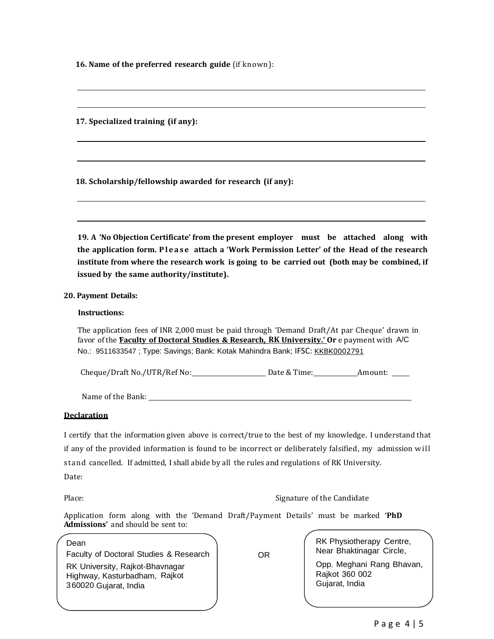**16. Name of the preferred research guide** (if known):

**17. Specialized training (if any):**

**18. Scholarship/fellowship awarded for research (if any):**

**19. A 'No Objection Certificate' from the present employer must be attached along with the application form. P l e a s e attach a 'Work Permission Letter' of the Head of the research institute from where the research work is going to be carried out (both may be combined, if issued by the same authority/institute).**

#### **20. Payment Details:**

#### **Instructions:**

The application fees of INR 2,000 must be paid through 'Demand Draft/At par Cheque' drawn in favor of the **'Faculty of Doctoral Studies & Research, RK University.' Or** e payment with A/C No.: 9511633547 ; Type: Savings; Bank: Kotak Mahindra Bank; IFSC: [KKBK0002791](http://ifsc.bankifsccode.com/KKBK0002791)

Cheque/Draft No./UTR/Ref No: Date & Time: Amount:

Name of the Bank:

#### **Declaration**

I certify that the information given above is correct/true to the best of my knowledge. I understand that if any of the provided information is found to be incorrect or deliberately falsified, my admission will stand cancelled. If admitted, I shall abide by all the rules and regulations of RK University. Date:

Place: The Candidate of the Candidate of the Candidate of the Candidate of the Candidate of the Candidate of the Candidate of the Candidate of the Candidate of the Candidate of the Candidate of the Candidate of the Candida

Application form along with the 'Demand Draft/Payment Details' must be marked '**PhD Admissions'** and should be sent to:

#### Dean

Faculty of Doctoral Studies & Research

RK University, Rajkot-Bhavnagar Highway, Kasturbadham, Rajkot 360020 Gujarat, India

RK Physiotherapy Centre, OR Near Bhaktinagar Circle,

> Opp. Meghani Rang Bhavan, Rajkot 360 002 Gujarat, India